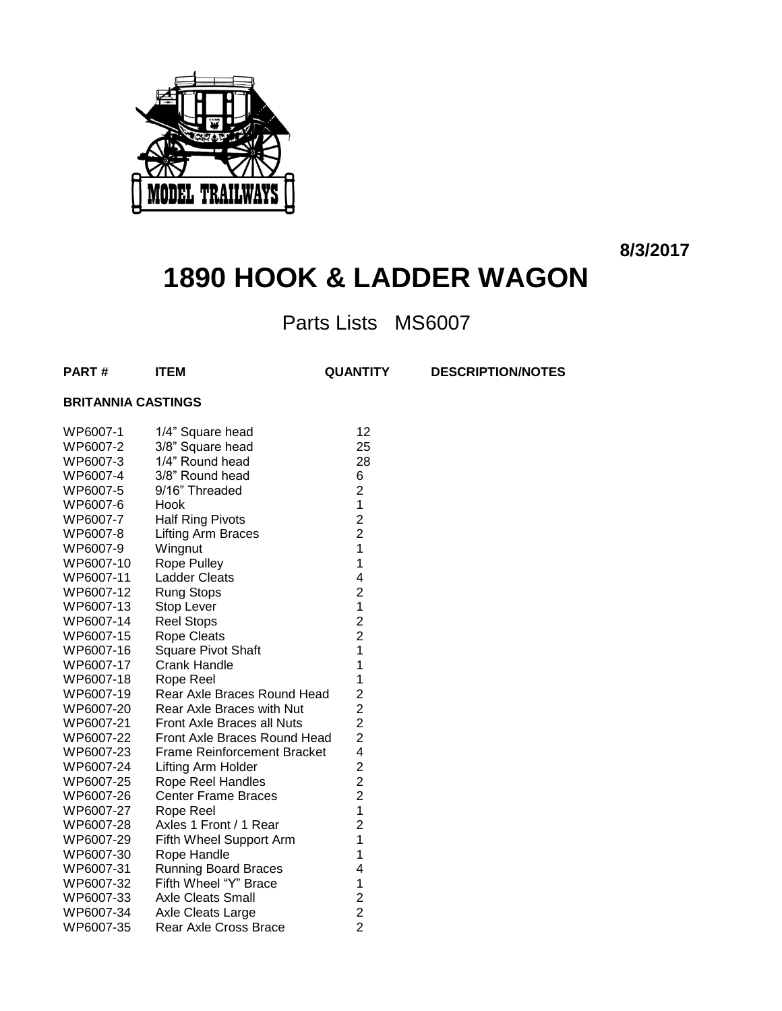

**8/3/2017**

# **1890 HOOK & LADDER WAGON**

Parts Lists MS6007

**PART # ITEM QUANTITY DESCRIPTION/NOTES**

#### **BRITANNIA CASTINGS**

| WP6007-1  | 1/4" Square head             | 12                                                |
|-----------|------------------------------|---------------------------------------------------|
| WP6007-2  | 3/8" Square head             | 25                                                |
| WP6007-3  | 1/4" Round head              | 28                                                |
| WP6007-4  | 3/8" Round head              | 6                                                 |
| WP6007-5  | 9/16" Threaded               | $\overline{\mathbf{c}}$                           |
| WP6007-6  | Hook                         | $\mathbf 1$                                       |
| WP6007-7  | <b>Half Ring Pivots</b>      | $\begin{array}{c} 2 \\ 2 \\ 1 \end{array}$        |
| WP6007-8  | Lifting Arm Braces           |                                                   |
| WP6007-9  | Wingnut                      |                                                   |
| WP6007-10 | Rope Pulley                  | $\mathbf{1}$                                      |
| WP6007-11 | <b>Ladder Cleats</b>         | $\overline{\mathbf{4}}$                           |
| WP6007-12 | Rung Stops                   | $\overline{\mathbf{c}}$                           |
| WP6007-13 | Stop Lever                   | $\overline{1}$                                    |
| WP6007-14 | <b>Reel Stops</b>            | $\begin{array}{c} 2 \\ 2 \\ 1 \end{array}$        |
| WP6007-15 | <b>Rope Cleats</b>           |                                                   |
| WP6007-16 | Square Pivot Shaft           |                                                   |
| WP6007-17 | <b>Crank Handle</b>          | $\overline{\mathbf{1}}$                           |
| WP6007-18 | Rope Reel                    | 1                                                 |
| WP6007-19 | Rear Axle Braces Round Head  | 2222                                              |
| WP6007-20 | Rear Axle Braces with Nut    |                                                   |
| WP6007-21 | Front Axle Braces all Nuts   |                                                   |
| WP6007-22 | Front Axle Braces Round Head |                                                   |
| WP6007-23 | Frame Reinforcement Bracket  |                                                   |
| WP6007-24 | Lifting Arm Holder           |                                                   |
| WP6007-25 | Rope Reel Handles            |                                                   |
| WP6007-26 | <b>Center Frame Braces</b>   | $\begin{array}{c}\n2 \\ 2 \\ 2 \\ 1\n\end{array}$ |
| WP6007-27 | Rope Reel                    |                                                   |
| WP6007-28 | Axles 1 Front / 1 Rear       | $\overline{c}$                                    |
| WP6007-29 | Fifth Wheel Support Arm      | $\overline{1}$                                    |
| WP6007-30 | Rope Handle                  | $\overline{1}$                                    |
| WP6007-31 | <b>Running Board Braces</b>  | 4                                                 |
| WP6007-32 | Fifth Wheel "Y" Brace        |                                                   |
| WP6007-33 | <b>Axle Cleats Small</b>     | $122$<br>2<br>2                                   |
| WP6007-34 | Axle Cleats Large            |                                                   |
| WP6007-35 | Rear Axle Cross Brace        |                                                   |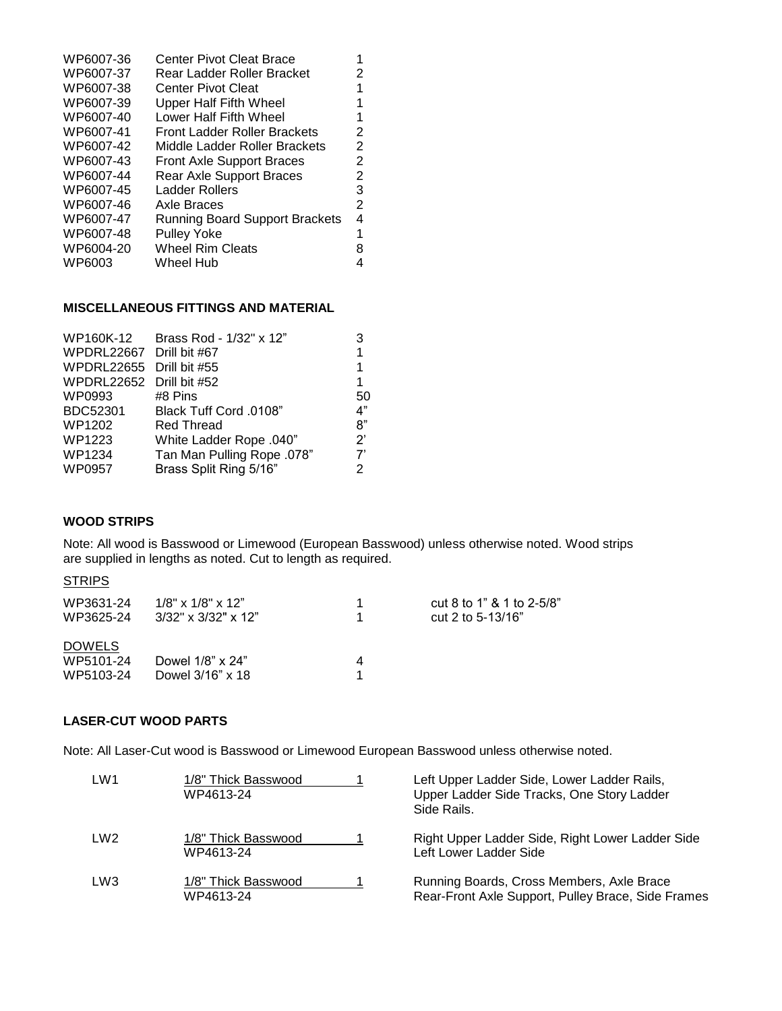| WP6007-36 | <b>Center Pivot Cleat Brace</b>       |   |
|-----------|---------------------------------------|---|
| WP6007-37 | Rear Ladder Roller Bracket            | 2 |
| WP6007-38 | <b>Center Pivot Cleat</b>             |   |
| WP6007-39 | <b>Upper Half Fifth Wheel</b>         |   |
| WP6007-40 | Lower Half Fifth Wheel                |   |
| WP6007-41 | Front Ladder Roller Brackets          | 2 |
| WP6007-42 | Middle Ladder Roller Brackets         | 2 |
| WP6007-43 | <b>Front Axle Support Braces</b>      | 2 |
| WP6007-44 | Rear Axle Support Braces              | 2 |
| WP6007-45 | Ladder Rollers                        | 3 |
| WP6007-46 | Axle Braces                           | 2 |
| WP6007-47 | <b>Running Board Support Brackets</b> | 4 |
| WP6007-48 | <b>Pulley Yoke</b>                    |   |
| WP6004-20 | <b>Wheel Rim Cleats</b>               |   |
| WP6003    | Wheel Hub                             |   |

#### **MISCELLANEOUS FITTINGS AND MATERIAL**

| WP160K-12                | Brass Rod - 1/32" x 12"    | 3                      |
|--------------------------|----------------------------|------------------------|
| WPDRL22667 Drill bit #67 |                            | 1                      |
| WPDRL22655               | Drill bit #55              | 1                      |
| WPDRL22652               | Drill bit #52              | 1                      |
| WP0993                   | #8 Pins                    | 50                     |
| BDC52301                 | Black Tuff Cord .0108"     | 4"                     |
| WP1202                   | <b>Red Thread</b>          | 8"                     |
| WP1223                   | White Ladder Rope .040"    | $\mathcal{P}^{\prime}$ |
| WP1234                   | Tan Man Pulling Rope .078" | 7'                     |
| WP0957                   | Brass Split Ring 5/16"     | 2                      |
|                          |                            |                        |

#### **WOOD STRIPS**

Note: All wood is Basswood or Limewood (European Basswood) unless otherwise noted. Wood strips are supplied in lengths as noted. Cut to length as required.

#### **STRIPS**

| WP3631-24     | $1/8$ " x $1/8$ " x $12$ " |   | cut 8 to 1" & 1 to 2-5/8" |
|---------------|----------------------------|---|---------------------------|
| WP3625-24     | $3/32$ " x $3/32$ " x 12"  |   | cut 2 to 5-13/16"         |
| <b>DOWELS</b> |                            |   |                           |
| WP5101-24     | Dowel 1/8" x 24"           | Δ |                           |
| WP5103-24     | Dowel 3/16" x 18           |   |                           |

#### **LASER-CUT WOOD PARTS**

Note: All Laser-Cut wood is Basswood or Limewood European Basswood unless otherwise noted.

| LW <sub>1</sub> | 1/8" Thick Basswood<br>WP4613-24 | Left Upper Ladder Side, Lower Ladder Rails,<br>Upper Ladder Side Tracks, One Story Ladder<br>Side Rails |
|-----------------|----------------------------------|---------------------------------------------------------------------------------------------------------|
| LW <sub>2</sub> | 1/8" Thick Basswood<br>WP4613-24 | Right Upper Ladder Side, Right Lower Ladder Side<br>Left Lower Ladder Side                              |
| LW <sub>3</sub> | 1/8" Thick Basswood<br>WP4613-24 | Running Boards, Cross Members, Axle Brace<br>Rear-Front Axle Support, Pulley Brace, Side Frames         |